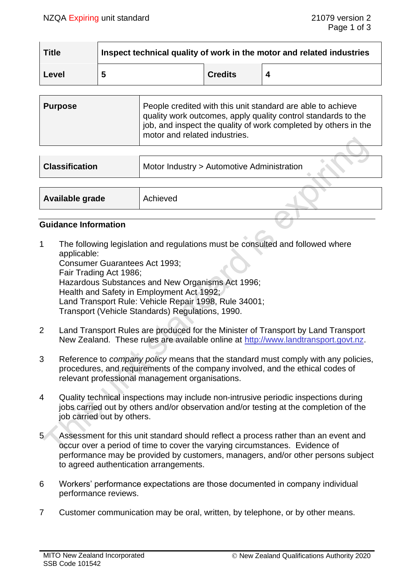$\sim$   $\sim$ 

| <b>Title</b> | Inspect technical quality of work in the motor and related industries |                |   |  |
|--------------|-----------------------------------------------------------------------|----------------|---|--|
| Level        |                                                                       | <b>Credits</b> | Δ |  |

| <b>Purpose</b> | People credited with this unit standard are able to achieve<br>quality work outcomes, apply quality control standards to the<br>job, and inspect the quality of work completed by others in the<br>motor and related industries. |
|----------------|----------------------------------------------------------------------------------------------------------------------------------------------------------------------------------------------------------------------------------|
|                |                                                                                                                                                                                                                                  |

| <b>Classification</b> | Motor Industry > Automotive Administration |  |
|-----------------------|--------------------------------------------|--|
|                       |                                            |  |
| Available grade       | Achieved                                   |  |

#### **Guidance Information**

1 The following legislation and regulations must be consulted and followed where applicable: Consumer Guarantees Act 1993; Fair Trading Act 1986; Hazardous Substances and New Organisms Act 1996; Health and Safety in Employment Act 1992;

Land Transport Rule: Vehicle Repair 1998, Rule 34001;

Transport (Vehicle Standards) Regulations, 1990.

- 2 Land Transport Rules are produced for the Minister of Transport by Land Transport New Zealand. These rules are available online at [http://www.landtransport.govt.nz.](http://www.landtransport.govt.nz/)
- 3 Reference to *company policy* means that the standard must comply with any policies, procedures, and requirements of the company involved, and the ethical codes of relevant professional management organisations.
- 4 Quality technical inspections may include non-intrusive periodic inspections during jobs carried out by others and/or observation and/or testing at the completion of the job carried out by others.
- 5 Assessment for this unit standard should reflect a process rather than an event and occur over a period of time to cover the varying circumstances. Evidence of performance may be provided by customers, managers, and/or other persons subject to agreed authentication arrangements.
- 6 Workers' performance expectations are those documented in company individual performance reviews.
- 7 Customer communication may be oral, written, by telephone, or by other means.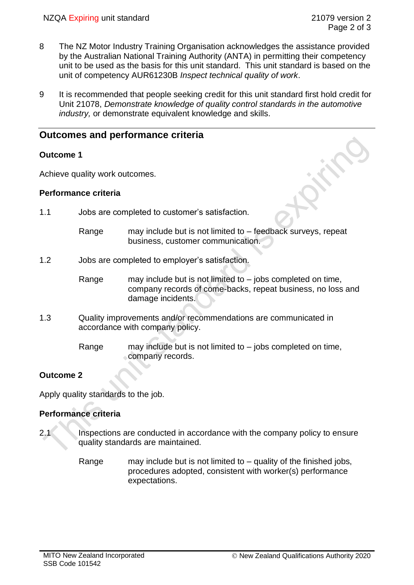- 8 The NZ Motor Industry Training Organisation acknowledges the assistance provided by the Australian National Training Authority (ANTA) in permitting their competency unit to be used as the basis for this unit standard. This unit standard is based on the unit of competency AUR61230B *Inspect technical quality of work*.
- 9 It is recommended that people seeking credit for this unit standard first hold credit for Unit 21078, *Demonstrate knowledge of quality control standards in the automotive industry,* or demonstrate equivalent knowledge and skills.

# **Outcomes and performance criteria**

## **Outcome 1**

Achieve quality work outcomes.

## **Performance criteria**

- 1.1 Jobs are completed to customer's satisfaction.
	- Range may include but is not limited to feedback surveys, repeat business, customer communication.

## 1.2 Jobs are completed to employer's satisfaction.

- Range may include but is not limited to  $-$  jobs completed on time, company records of come-backs, repeat business, no loss and damage incidents.
- 1.3 Quality improvements and/or recommendations are communicated in accordance with company policy.
	- Range may include but is not limited to  $-$  jobs completed on time, company records.

# **Outcome 2**

Apply quality standards to the job.

## **Performance criteria**

- 2.1 Inspections are conducted in accordance with the company policy to ensure quality standards are maintained.
	- Range may include but is not limited to  $-$  quality of the finished jobs, procedures adopted, consistent with worker(s) performance expectations.